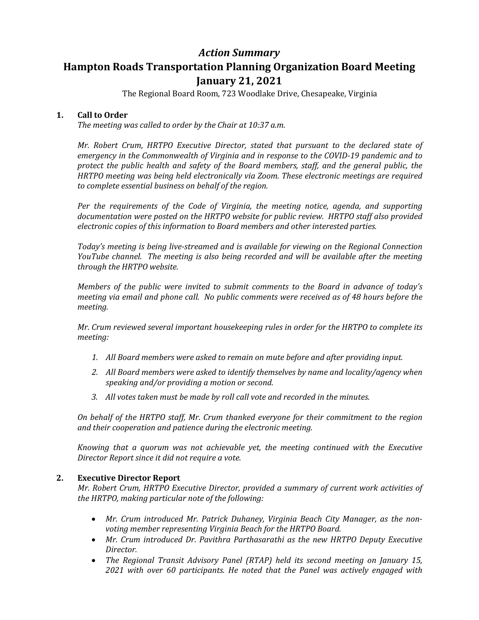# *Action Summary* **Hampton Roads Transportation Planning Organization Board Meeting January 21, 2021**

The Regional Board Room, 723 Woodlake Drive, Chesapeake, Virginia

# **1. Call to Order**

*The meeting was called to order by the Chair at 10:37 a.m.* 

*Mr. Robert Crum, HRTPO Executive Director, stated that pursuant to the declared state of emergency in the Commonwealth of Virginia and in response to the COVID-19 pandemic and to protect the public health and safety of the Board members, staff, and the general public, the HRTPO meeting was being held electronically via Zoom. These electronic meetings are required to complete essential business on behalf of the region.*

*Per the requirements of the Code of Virginia, the meeting notice, agenda, and supporting documentation were posted on the HRTPO website for public review. HRTPO staff also provided electronic copies of this information to Board members and other interested parties.* 

*Today's meeting is being live-streamed and is available for viewing on the Regional Connection YouTube channel. The meeting is also being recorded and will be available after the meeting through the HRTPO website.*

*Members of the public were invited to submit comments to the Board in advance of today's meeting via email and phone call. No public comments were received as of 48 hours before the meeting.*

*Mr. Crum reviewed several important housekeeping rules in order for the HRTPO to complete its meeting:*

- *1. All Board members were asked to remain on mute before and after providing input.*
- *2. All Board members were asked to identify themselves by name and locality/agency when speaking and/or providing a motion or second.*
- *3. All votes taken must be made by roll call vote and recorded in the minutes.*

*On behalf of the HRTPO staff, Mr. Crum thanked everyone for their commitment to the region and their cooperation and patience during the electronic meeting.* 

*Knowing that a quorum was not achievable yet, the meeting continued with the Executive Director Report since it did not require a vote.*

# **2. Executive Director Report**

*Mr. Robert Crum, HRTPO Executive Director, provided a summary of current work activities of the HRTPO, making particular note of the following:*

- *Mr. Crum introduced Mr. Patrick Duhaney, Virginia Beach City Manager, as the nonvoting member representing Virginia Beach for the HRTPO Board.*
- *Mr. Crum introduced Dr. Pavithra Parthasarathi as the new HRTPO Deputy Executive Director.*
- *The Regional Transit Advisory Panel (RTAP) held its second meeting on January 15, 2021 with over 60 participants. He noted that the Panel was actively engaged with*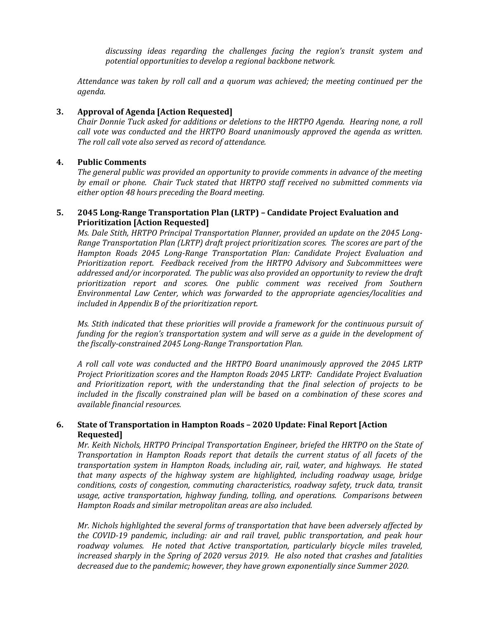*discussing ideas regarding the challenges facing the region's transit system and potential opportunities to develop a regional backbone network.*

*Attendance was taken by roll call and a quorum was achieved; the meeting continued per the agenda.*

#### **3. Approval of Agenda [Action Requested]**

*Chair Donnie Tuck asked for additions or deletions to the HRTPO Agenda. Hearing none, a roll call vote was conducted and the HRTPO Board unanimously approved the agenda as written. The roll call vote also served as record of attendance.*

## **4. Public Comments**

*The general public was provided an opportunity to provide comments in advance of the meeting by email or phone. Chair Tuck stated that HRTPO staff received no submitted comments via either option 48 hours preceding the Board meeting.*

#### **5. 2045 Long-Range Transportation Plan (LRTP) – Candidate Project Evaluation and Prioritization [Action Requested]**

Ms. Dale Stith, HRTPO Principal Transportation Planner, provided an update on the 2045 Long-*Range Transportation Plan (LRTP) draft project prioritization scores. The scores are part of the Hampton Roads 2045 Long-Range Transportation Plan: Candidate Project Evaluation and Prioritization report. Feedback received from the HRTPO Advisory and Subcommittees were addressed and/or incorporated. The public was also provided an opportunity to review the draft prioritization report and scores. One public comment was received from Southern Environmental Law Center, which was forwarded to the appropriate agencies/localities and included in Appendix B of the prioritization report.*

*Ms. Stith indicated that these priorities will provide a framework for the continuous pursuit of funding for the region's transportation system and will serve as a guide in the development of the fiscally-constrained 2045 Long-Range Transportation Plan.* 

*A roll call vote was conducted and the HRTPO Board unanimously approved the 2045 LRTP Project Prioritization scores and the Hampton Roads 2045 LRTP: Candidate Project Evaluation and Prioritization report, with the understanding that the final selection of projects to be included in the fiscally constrained plan will be based on a combination of these scores and available financial resources.*

## **6. State of Transportation in Hampton Roads – 2020 Update: Final Report [Action Requested]**

*Mr. Keith Nichols, HRTPO Principal Transportation Engineer, briefed the HRTPO on the State of Transportation in Hampton Roads report that details the current status of all facets of the transportation system in Hampton Roads, including air, rail, water, and highways. He stated that many aspects of the highway system are highlighted, including roadway usage, bridge conditions, costs of congestion, commuting characteristics, roadway safety, truck data, transit usage, active transportation, highway funding, tolling, and operations. Comparisons between Hampton Roads and similar metropolitan areas are also included.*

*Mr. Nichols highlighted the several forms of transportation that have been adversely affected by the COVID-19 pandemic, including: air and rail travel, public transportation, and peak hour roadway volumes. He noted that Active transportation, particularly bicycle miles traveled, increased sharply in the Spring of 2020 versus 2019. He also noted that crashes and fatalities decreased due to the pandemic; however, they have grown exponentially since Summer 2020.*